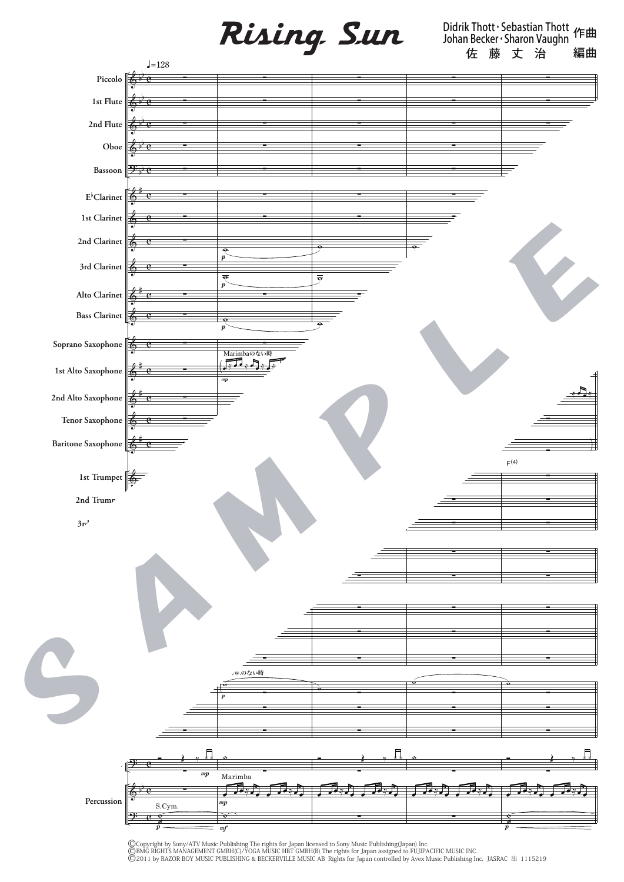Rising Sun

Didrik Thott・Sebastian Thott Johan Becker・Sharon Vaughn 作曲 佐藤丈 治 編曲



©Copyright by Sony/ATV Music Publishing The rights for Japan licensed to Sony Music Publishing(Japan) Inc.<br>©BMG RIGHTS MANAGEMENT GMBH(C)/YOGA MUSIC HBT GMBH(B) The rights for Japan assigned to FUJIPACIFIC MUSIC INC.<br>©201